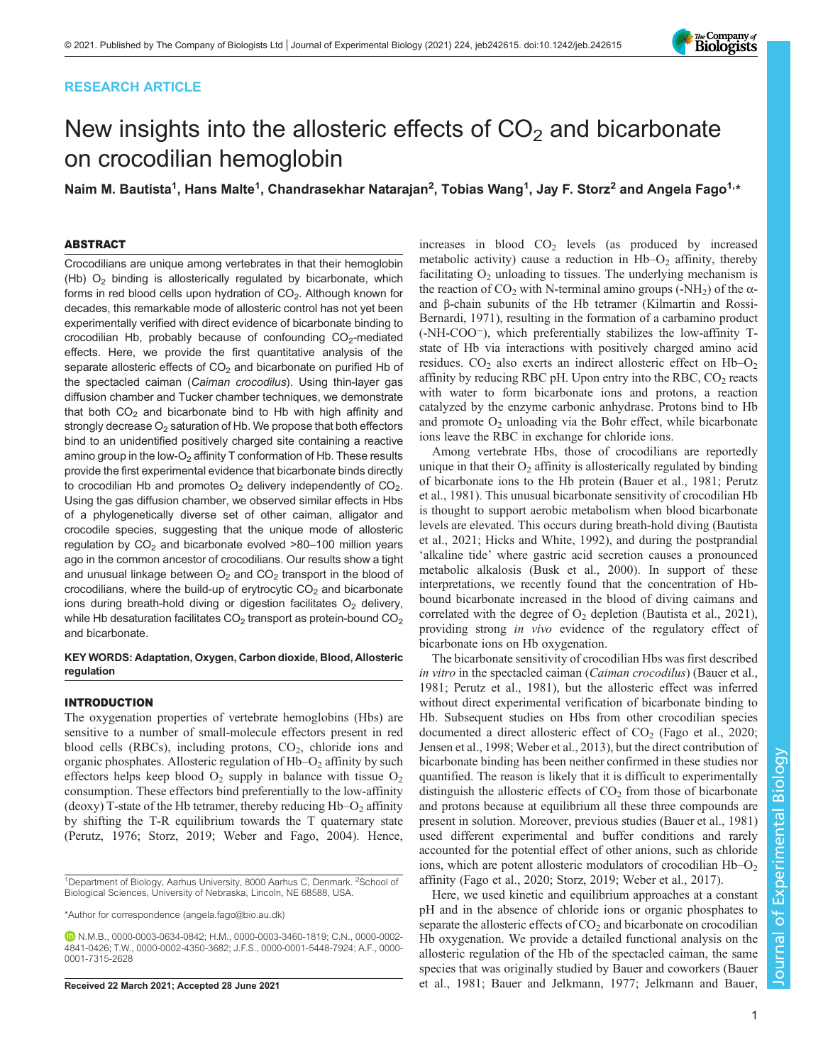# RESEARCH ARTICLE



# New insights into the allosteric effects of  $CO<sub>2</sub>$  and bicarbonate on crocodilian hemoglobin

Naim M. Bautista<sup>1</sup>, Hans Malte<sup>1</sup>, Chandrasekhar Natarajan<sup>2</sup>, Tobias Wang<sup>1</sup>, Jay F. Storz<sup>2</sup> and Angela Fago<sup>1,</sup>\*

# ABSTRACT

Crocodilians are unique among vertebrates in that their hemoglobin (Hb)  $O<sub>2</sub>$  binding is allosterically regulated by bicarbonate, which forms in red blood cells upon hydration of  $CO<sub>2</sub>$ . Although known for decades, this remarkable mode of allosteric control has not yet been experimentally verified with direct evidence of bicarbonate binding to crocodilian Hb, probably because of confounding  $CO<sub>2</sub>$ -mediated effects. Here, we provide the first quantitative analysis of the separate allosteric effects of  $CO<sub>2</sub>$  and bicarbonate on purified Hb of the spectacled caiman (Caiman crocodilus). Using thin-layer gas diffusion chamber and Tucker chamber techniques, we demonstrate that both  $CO<sub>2</sub>$  and bicarbonate bind to Hb with high affinity and strongly decrease  $O_2$  saturation of Hb. We propose that both effectors bind to an unidentified positively charged site containing a reactive amino group in the low- $O_2$  affinity T conformation of Hb. These results provide the first experimental evidence that bicarbonate binds directly to crocodilian Hb and promotes  $O_2$  delivery independently of  $CO_2$ . Using the gas diffusion chamber, we observed similar effects in Hbs of a phylogenetically diverse set of other caiman, alligator and crocodile species, suggesting that the unique mode of allosteric regulation by  $CO<sub>2</sub>$  and bicarbonate evolved  $>80-100$  million years ago in the common ancestor of crocodilians. Our results show a tight and unusual linkage between  $O<sub>2</sub>$  and  $CO<sub>2</sub>$  transport in the blood of crocodilians, where the build-up of erytrocytic  $CO<sub>2</sub>$  and bicarbonate ions during breath-hold diving or digestion facilitates  $O<sub>2</sub>$  delivery, while Hb desaturation facilitates  $CO<sub>2</sub>$  transport as protein-bound  $CO<sub>2</sub>$ and bicarbonate.

## KEY WORDS: Adaptation, Oxygen, Carbon dioxide, Blood, Allosteric regulation

#### INTRODUCTION

The oxygenation properties of vertebrate hemoglobins (Hbs) are sensitive to a number of small-molecule effectors present in red blood cells (RBCs), including protons,  $CO<sub>2</sub>$ , chloride ions and organic phosphates. Allosteric regulation of  $Hb-O<sub>2</sub>$  affinity by such effectors helps keep blood  $O_2$  supply in balance with tissue  $O_2$ consumption. These effectors bind preferentially to the low-affinity (deoxy) T-state of the Hb tetramer, thereby reducing  $Hb-O<sub>2</sub>$  affinity by shifting the T-R equilibrium towards the T quaternary state [\(Perutz, 1976](#page-7-0); [Storz, 2019; Weber and Fago, 2004](#page-7-0)). Hence,

increases in blood  $CO<sub>2</sub>$  levels (as produced by increased metabolic activity) cause a reduction in  $Hb-O<sub>2</sub>$  affinity, thereby facilitating  $O_2$  unloading to tissues. The underlying mechanism is the reaction of  $CO_2$  with N-terminal amino groups (-NH<sub>2</sub>) of the  $\alpha$ and β-chain subunits of the Hb tetramer [\(Kilmartin and Rossi-](#page-7-0)[Bernardi, 1971\)](#page-7-0), resulting in the formation of a carbamino product (-NH-COO−), which preferentially stabilizes the low-affinity Tstate of Hb via interactions with positively charged amino acid residues.  $CO<sub>2</sub>$  also exerts an indirect allosteric effect on  $Hb-O<sub>2</sub>$ affinity by reducing RBC pH. Upon entry into the RBC,  $CO<sub>2</sub>$  reacts with water to form bicarbonate ions and protons, a reaction catalyzed by the enzyme carbonic anhydrase. Protons bind to Hb and promote  $O_2$  unloading via the Bohr effect, while bicarbonate ions leave the RBC in exchange for chloride ions.

Among vertebrate Hbs, those of crocodilians are reportedly unique in that their  $O_2$  affinity is allosterically regulated by binding of bicarbonate ions to the Hb protein ([Bauer et al., 1981](#page-6-0); [Perutz](#page-7-0) [et al., 1981\)](#page-7-0). This unusual bicarbonate sensitivity of crocodilian Hb is thought to support aerobic metabolism when blood bicarbonate levels are elevated. This occurs during breath-hold diving [\(Bautista](#page-7-0) [et al., 2021](#page-7-0); [Hicks and White, 1992](#page-7-0)), and during the postprandial 'alkaline tide' where gastric acid secretion causes a pronounced metabolic alkalosis ([Busk et al., 2000](#page-7-0)). In support of these interpretations, we recently found that the concentration of Hbbound bicarbonate increased in the blood of diving caimans and correlated with the degree of  $O<sub>2</sub>$  depletion [\(Bautista et al., 2021\)](#page-7-0), providing strong in vivo evidence of the regulatory effect of bicarbonate ions on Hb oxygenation.

The bicarbonate sensitivity of crocodilian Hbs was first described in vitro in the spectacled caiman (Caiman crocodilus) ([Bauer et al.,](#page-6-0) [1981;](#page-6-0) [Perutz et al., 1981](#page-7-0)), but the allosteric effect was inferred without direct experimental verification of bicarbonate binding to Hb. Subsequent studies on Hbs from other crocodilian species documented a direct allosteric effect of  $CO<sub>2</sub>$  ([Fago et al., 2020](#page-7-0); [Jensen et al., 1998; Weber et al., 2013](#page-7-0)), but the direct contribution of bicarbonate binding has been neither confirmed in these studies nor quantified. The reason is likely that it is difficult to experimentally distinguish the allosteric effects of  $CO<sub>2</sub>$  from those of bicarbonate and protons because at equilibrium all these three compounds are present in solution. Moreover, previous studies [\(Bauer et al., 1981\)](#page-6-0) used different experimental and buffer conditions and rarely accounted for the potential effect of other anions, such as chloride ions, which are potent allosteric modulators of crocodilian  $Hb-O<sub>2</sub>$ affinity [\(Fago et al., 2020](#page-7-0); [Storz, 2019](#page-7-0); [Weber et al., 2017](#page-7-0)).

Here, we used kinetic and equilibrium approaches at a constant pH and in the absence of chloride ions or organic phosphates to separate the allosteric effects of  $CO<sub>2</sub>$  and bicarbonate on crocodilian Hb oxygenation. We provide a detailed functional analysis on the allosteric regulation of the Hb of the spectacled caiman, the same species that was originally studied by Bauer and coworkers [\(Bauer](#page-6-0) Received 22 March 2021; Accepted 28 June 2021 [et al., 1981](#page-6-0); [Bauer and Jelkmann, 1977;](#page-6-0) [Jelkmann and Bauer,](#page-7-0)

<sup>&</sup>lt;sup>1</sup>Department of Biology, Aarhus University, 8000 Aarhus C, Denmark. <sup>2</sup>School of Biological Sciences, University of Nebraska, Lincoln, NE 68588, USA.

<sup>\*</sup>Author for correspondence [\(angela.fago@bio.au.dk\)](mailto:angela.fago@bio.au.dk)

N.M.B., [0000-0003-0634-0842;](http://orcid.org/0000-0003-0634-0842) H.M., [0000-0003-3460-1819;](http://orcid.org/0000-0003-3460-1819) C.N., [0000-0002-](http://orcid.org/0000-0002-4841-0426) [4841-0426](http://orcid.org/0000-0002-4841-0426); T.W., [0000-0002-4350-3682](http://orcid.org/0000-0002-4350-3682); J.F.S., [0000-0001-5448-7924](http://orcid.org/0000-0001-5448-7924); A.F., [0000-](http://orcid.org/0000-0001-7315-2628) [0001-7315-2628](http://orcid.org/0000-0001-7315-2628)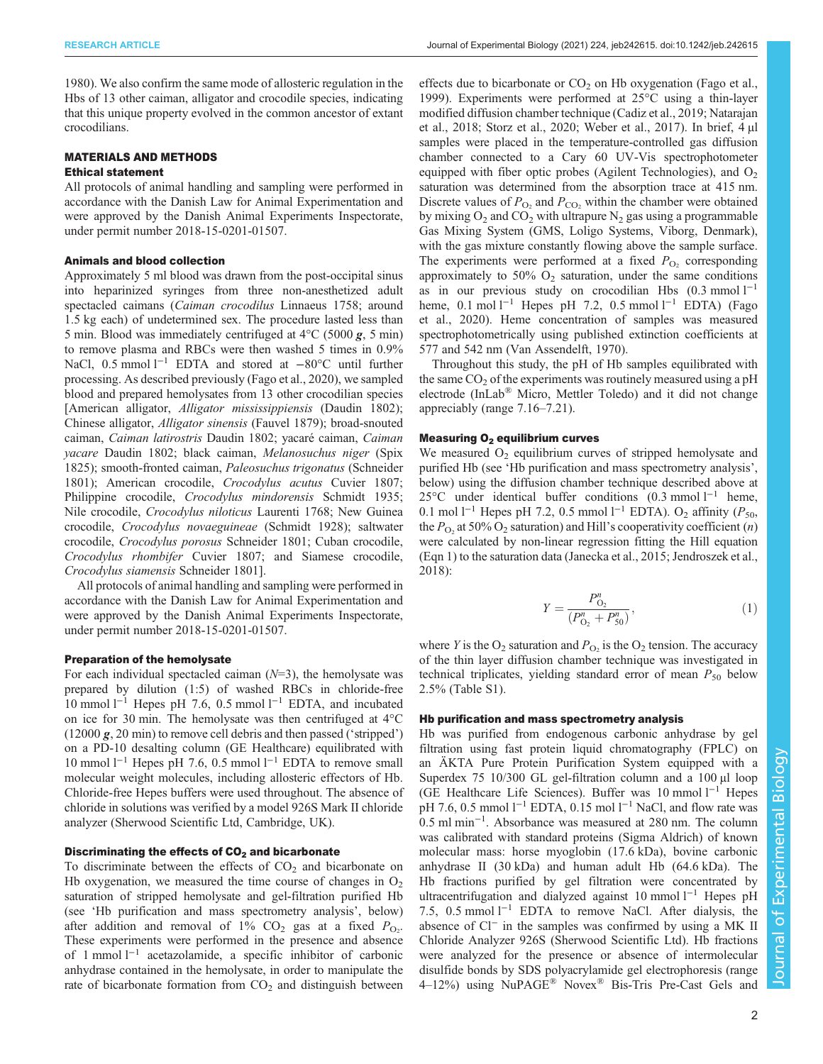[1980](#page-7-0)). We also confirm the same mode of allosteric regulation in the Hbs of 13 other caiman, alligator and crocodile species, indicating that this unique property evolved in the common ancestor of extant crocodilians.

## MATERIALS AND METHODS

## Ethical statement

All protocols of animal handling and sampling were performed in accordance with the Danish Law for Animal Experimentation and were approved by the Danish Animal Experiments Inspectorate, under permit number 2018-15-0201-01507.

#### Animals and blood collection

Approximately 5 ml blood was drawn from the post-occipital sinus into heparinized syringes from three non-anesthetized adult spectacled caimans (Caiman crocodilus Linnaeus 1758; around 1.5 kg each) of undetermined sex. The procedure lasted less than 5 min. Blood was immediately centrifuged at  $4^{\circ}$ C (5000 g, 5 min) to remove plasma and RBCs were then washed 5 times in 0.9% NaCl, 0.5 mmol l<sup>-1</sup> EDTA and stored at −80°C until further processing. As described previously [\(Fago et al., 2020\)](#page-7-0), we sampled blood and prepared hemolysates from 13 other crocodilian species [American alligator, *Alligator mississippiensis* (Daudin 1802); Chinese alligator, Alligator sinensis (Fauvel 1879); broad-snouted caiman, Caiman latirostris Daudin 1802; yacaré caiman, Caiman yacare Daudin 1802; black caiman, Melanosuchus niger (Spix 1825); smooth-fronted caiman, Paleosuchus trigonatus (Schneider 1801); American crocodile, Crocodylus acutus Cuvier 1807; Philippine crocodile, Crocodylus mindorensis Schmidt 1935; Nile crocodile, Crocodylus niloticus Laurenti 1768; New Guinea crocodile, Crocodylus novaeguineae (Schmidt 1928); saltwater crocodile, Crocodylus porosus Schneider 1801; Cuban crocodile, Crocodylus rhombifer Cuvier 1807; and Siamese crocodile, Crocodylus siamensis Schneider 1801].

All protocols of animal handling and sampling were performed in accordance with the Danish Law for Animal Experimentation and were approved by the Danish Animal Experiments Inspectorate, under permit number 2018-15-0201-01507.

#### Preparation of the hemolysate

For each individual spectacled caiman  $(N=3)$ , the hemolysate was prepared by dilution (1:5) of washed RBCs in chloride-free 10 mmol  $1^{-1}$  Hepes pH 7.6, 0.5 mmol  $1^{-1}$  EDTA, and incubated on ice for 30 min. The hemolysate was then centrifuged at 4°C (12000 g, 20 min) to remove cell debris and then passed ('stripped') on a PD-10 desalting column (GE Healthcare) equilibrated with 10 mmol l−<sup>1</sup> Hepes pH 7.6, 0.5 mmol l−<sup>1</sup> EDTA to remove small molecular weight molecules, including allosteric effectors of Hb. Chloride-free Hepes buffers were used throughout. The absence of chloride in solutions was verified by a model 926S Mark II chloride analyzer (Sherwood Scientific Ltd, Cambridge, UK).

## Discriminating the effects of  $CO<sub>2</sub>$  and bicarbonate

To discriminate between the effects of  $CO<sub>2</sub>$  and bicarbonate on Hb oxygenation, we measured the time course of changes in  $O<sub>2</sub>$ saturation of stripped hemolysate and gel-filtration purified Hb (see 'Hb purification and mass spectrometry analysis', below) after addition and removal of  $1\%$  CO<sub>2</sub> gas at a fixed  $P_{\text{O}_2}$ . These experiments were performed in the presence and absence of 1 mmol l−<sup>1</sup> acetazolamide, a specific inhibitor of carbonic anhydrase contained in the hemolysate, in order to manipulate the rate of bicarbonate formation from  $CO<sub>2</sub>$  and distinguish between effects due to bicarbonate or  $CO<sub>2</sub>$  on Hb oxygenation ([Fago et al.,](#page-7-0) [1999\)](#page-7-0). Experiments were performed at 25°C using a thin-layer modified diffusion chamber technique [\(Cadiz et al., 2019; Natarajan](#page-7-0) [et al., 2018; Storz et al., 2020; Weber et al., 2017](#page-7-0)). In brief, 4 µl samples were placed in the temperature-controlled gas diffusion chamber connected to a Cary 60 UV-Vis spectrophotometer equipped with fiber optic probes (Agilent Technologies), and  $O<sub>2</sub>$ saturation was determined from the absorption trace at 415 nm. Discrete values of  $P_{\text{O}_2}$  and  $P_{\text{CO}_2}$  within the chamber were obtained by mixing  $O_2$  and  $CO_2$  with ultrapure  $N_2$  gas using a programmable Gas Mixing System (GMS, Loligo Systems, Viborg, Denmark), with the gas mixture constantly flowing above the sample surface. The experiments were performed at a fixed  $P_{\text{O}_2}$  corresponding approximately to 50%  $O_2$  saturation, under the same conditions as in our previous study on crocodilian Hbs  $(0.3 \text{ mmol } 1^{-1})$ heme, 0.1 mol l<sup>-1</sup> Hepes pH 7.2, 0.5 mmol l<sup>-1</sup> EDTA) [\(Fago](#page-7-0) [et al., 2020](#page-7-0)). Heme concentration of samples was measured spectrophotometrically using published extinction coefficients at 577 and 542 nm ([Van Assendelft, 1970](#page-7-0)).

Throughout this study, the pH of Hb samples equilibrated with the same  $CO<sub>2</sub>$  of the experiments was routinely measured using a pH electrode (InLab® Micro, Mettler Toledo) and it did not change appreciably (range 7.16–7.21).

#### Measuring  $O<sub>2</sub>$  equilibrium curves

We measured  $O_2$  equilibrium curves of stripped hemolysate and purified Hb (see 'Hb purification and mass spectrometry analysis', below) using the diffusion chamber technique described above at 25°C under identical buffer conditions (0.3 mmol l−<sup>1</sup> heme, 0.1 mol l<sup>-1</sup> Hepes pH 7.2, 0.5 mmol l<sup>-1</sup> EDTA). O<sub>2</sub> affinity ( $P_{50}$ , the  $P_{\text{O}_2}$  at 50% O<sub>2</sub> saturation) and Hill's cooperativity coefficient (n) were calculated by non-linear regression fitting the Hill equation (Eqn 1) to the saturation data [\(Janecka et al., 2015](#page-7-0); [Jendroszek et al.,](#page-7-0) [2018\)](#page-7-0):

$$
Y = \frac{P_{0_2}^n}{(P_{0_2}^n + P_{50}^n)},\tag{1}
$$

where Y is the  $O_2$  saturation and  $P_{O_2}$  is the  $O_2$  tension. The accuracy of the thin layer diffusion chamber technique was investigated in technical triplicates, yielding standard error of mean  $P_{50}$  below 2.5% [\(Table S1](https://journals.biologists.com/jeb/article-lookup/DOI/10.1242/jeb.242615)).

#### Hb purification and mass spectrometry analysis

Hb was purified from endogenous carbonic anhydrase by gel filtration using fast protein liquid chromatography (FPLC) on an ÄKTA Pure Protein Purification System equipped with a Superdex 75 10/300 GL gel-filtration column and a 100 µl loop (GE Healthcare Life Sciences). Buffer was 10 mmol l−<sup>1</sup> Hepes pH 7.6, 0.5 mmol l<sup>−1</sup> EDTA, 0.15 mol l<sup>−1</sup> NaCl, and flow rate was 0.5 ml min−<sup>1</sup> . Absorbance was measured at 280 nm. The column was calibrated with standard proteins (Sigma Aldrich) of known molecular mass: horse myoglobin (17.6 kDa), bovine carbonic anhydrase II (30 kDa) and human adult Hb (64.6 kDa). The Hb fractions purified by gel filtration were concentrated by ultracentrifugation and dialyzed against 10 mmol l<sup>-1</sup> Hepes pH 7.5, 0.5 mmol  $1^{-1}$  EDTA to remove NaCl. After dialysis, the absence of Cl<sup>−</sup> in the samples was confirmed by using a MK II Chloride Analyzer 926S (Sherwood Scientific Ltd). Hb fractions were analyzed for the presence or absence of intermolecular disulfide bonds by SDS polyacrylamide gel electrophoresis (range 4–12%) using NuPAGE® Novex® Bis-Tris Pre-Cast Gels and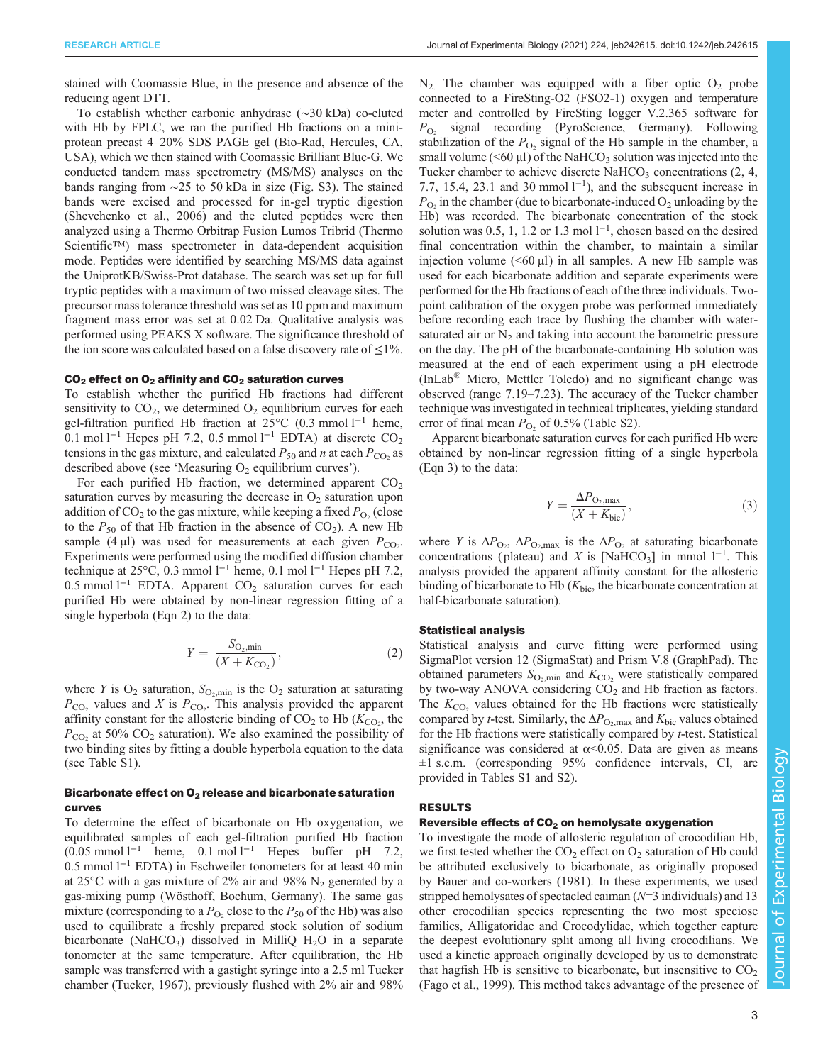stained with Coomassie Blue, in the presence and absence of the reducing agent DTT.

To establish whether carbonic anhydrase (∼30 kDa) co-eluted with Hb by FPLC, we ran the purified Hb fractions on a miniprotean precast 4–20% SDS PAGE gel (Bio-Rad, Hercules, CA, USA), which we then stained with Coomassie Brilliant Blue-G. We conducted tandem mass spectrometry (MS/MS) analyses on the bands ranging from ∼25 to 50 kDa in size ([Fig. S3\)](https://journals.biologists.com/jeb/article-lookup/DOI/10.1242/jeb.242615). The stained bands were excised and processed for in-gel tryptic digestion [\(Shevchenko et al., 2006\)](#page-7-0) and the eluted peptides were then analyzed using a Thermo Orbitrap Fusion Lumos Tribrid (Thermo Scientific™) mass spectrometer in data-dependent acquisition mode. Peptides were identified by searching MS/MS data against the UniprotKB/Swiss-Prot database. The search was set up for full tryptic peptides with a maximum of two missed cleavage sites. The precursor mass tolerance threshold was set as 10 ppm and maximum fragment mass error was set at 0.02 Da. Qualitative analysis was performed using PEAKS X software. The significance threshold of the ion score was calculated based on a false discovery rate of  $\leq$ 1%.

## $CO<sub>2</sub>$  effect on  $O<sub>2</sub>$  affinity and  $CO<sub>2</sub>$  saturation curves

To establish whether the purified Hb fractions had different sensitivity to  $CO<sub>2</sub>$ , we determined  $O<sub>2</sub>$  equilibrium curves for each gel-filtration purified Hb fraction at 25°C (0.3 mmol l<sup>-1</sup> heme, 0.1 mol l<sup>-1</sup> Hepes pH 7.2, 0.5 mmol l<sup>-1</sup> EDTA) at discrete CO<sub>2</sub> tensions in the gas mixture, and calculated  $P_{50}$  and n at each  $P_{\rm CO}$  as described above (see 'Measuring  $O_2$  equilibrium curves').

For each purified Hb fraction, we determined apparent  $CO<sub>2</sub>$ saturation curves by measuring the decrease in  $O_2$  saturation upon addition of  $CO_2$  to the gas mixture, while keeping a fixed  $P_{O_2}$  (close to the  $P_{50}$  of that Hb fraction in the absence of  $CO<sub>2</sub>$ ). A new Hb sample (4  $\mu$ I) was used for measurements at each given  $P_{CO_2}$ . Experiments were performed using the modified diffusion chamber technique at 25 $^{\circ}$ C, 0.3 mmol l<sup>−1</sup> heme, 0.1 mol l<sup>−1</sup> Hepes pH 7.2, 0.5 mmol l<sup>-1</sup> EDTA. Apparent CO<sub>2</sub> saturation curves for each purified Hb were obtained by non-linear regression fitting of a single hyperbola (Eqn 2) to the data:

$$
Y = \frac{S_{\text{O}_2, \text{min}}}{(X + K_{\text{CO}_2})},
$$
 (2)

where Y is  $O_2$  saturation,  $S_{O_2,min}$  is the  $O_2$  saturation at saturating  $P_{\text{CO}_2}$  values and X is  $P_{\text{CO}_2}$ . This analysis provided the apparent affinity constant for the allosteric binding of  $CO_2$  to Hb ( $K_{CO_2}$ , the  $P_{\rm CO_2}$  at 50% CO<sub>2</sub> saturation). We also examined the possibility of two binding sites by fitting a double hyperbola equation to the data (see [Table S1\)](https://journals.biologists.com/jeb/article-lookup/DOI/10.1242/jeb.242615).

## Bicarbonate effect on  $O<sub>2</sub>$  release and bicarbonate saturation curves

To determine the effect of bicarbonate on Hb oxygenation, we equilibrated samples of each gel-filtration purified Hb fraction  $(0.05 \text{ mmol } 1^{-1}$  heme,  $0.1 \text{ mol } 1^{-1}$  Hepes buffer pH 7.2, 0.5 mmol l−<sup>1</sup> EDTA) in Eschweiler tonometers for at least 40 min at 25 $\degree$ C with a gas mixture of 2% air and 98% N<sub>2</sub> generated by a gas-mixing pump (Wösthoff, Bochum, Germany). The same gas mixture (corresponding to a  $P_{\text{O}_2}$  close to the  $P_{50}$  of the Hb) was also used to equilibrate a freshly prepared stock solution of sodium bicarbonate (NaHCO<sub>3</sub>) dissolved in MilliQ  $H<sub>2</sub>O$  in a separate tonometer at the same temperature. After equilibration, the Hb sample was transferred with a gastight syringe into a 2.5 ml Tucker chamber [\(Tucker, 1967\)](#page-7-0), previously flushed with 2% air and 98%  $N_2$ . The chamber was equipped with a fiber optic  $O_2$  probe connected to a FireSting-O2 (FSO2-1) oxygen and temperature meter and controlled by FireSting logger V.2.365 software for  $P_{\text{O}_2}$  signal recording (PyroScience, Germany). Following stabilization of the  $P_{\text{O}_2}$  signal of the Hb sample in the chamber, a small volume ( $\leq 60 \mu l$ ) of the NaHCO<sub>3</sub> solution was injected into the Tucker chamber to achieve discrete NaHCO<sub>3</sub> concentrations  $(2, 4, 4)$ 7.7, 15.4, 23.1 and 30 mmol  $l^{-1}$ ), and the subsequent increase in  $P_{\text{O}_2}$  in the chamber (due to bicarbonate-induced  $\text{O}_2$  unloading by the Hb) was recorded. The bicarbonate concentration of the stock solution was 0.5, 1, 1.2 or 1.3 mol  $l^{-1}$ , chosen based on the desired final concentration within the chamber, to maintain a similar injection volume  $( $60 \mu l$ )$  in all samples. A new Hb sample was used for each bicarbonate addition and separate experiments were performed for the Hb fractions of each of the three individuals. Twopoint calibration of the oxygen probe was performed immediately before recording each trace by flushing the chamber with watersaturated air or  $N_2$  and taking into account the barometric pressure on the day. The pH of the bicarbonate-containing Hb solution was measured at the end of each experiment using a pH electrode (InLab® Micro, Mettler Toledo) and no significant change was observed (range 7.19–7.23). The accuracy of the Tucker chamber technique was investigated in technical triplicates, yielding standard error of final mean  $P_{\text{O}_2}$  of 0.5% [\(Table S2](https://journals.biologists.com/jeb/article-lookup/DOI/10.1242/jeb.242615)).

Apparent bicarbonate saturation curves for each purified Hb were obtained by non-linear regression fitting of a single hyperbola (Eqn 3) to the data:

$$
Y = \frac{\Delta P_{\text{O}_2,\text{max}}}{(X + K_{\text{bic}})},
$$
\n(3)

where Y is  $\Delta P_{\text{O}_2}$ ,  $\Delta P_{\text{O}_2}$  at saturating bicarbonate concentrations (plateau) and X is [NaHCO<sub>3</sub>] in mmol  $1^{-1}$ . This analysis provided the apparent affinity constant for the allosteric binding of bicarbonate to Hb  $(K_{\text{bic}})$ , the bicarbonate concentration at half-bicarbonate saturation).

#### Statistical analysis

Statistical analysis and curve fitting were performed using SigmaPlot version 12 (SigmaStat) and Prism V.8 (GraphPad). The obtained parameters  $S_{\text{O}_2,\text{min}}$  and  $K_{\text{CO}_2}$  were statistically compared by two-way ANOVA considering  $CO<sub>2</sub>$  and Hb fraction as factors. The  $K_{\text{CO}}$ , values obtained for the Hb fractions were statistically compared by *t*-test. Similarly, the  $\Delta P_{\text{O}_2,\text{max}}$  and  $K_{\text{bic}}$  values obtained for the Hb fractions were statistically compared by t-test. Statistical significance was considered at  $\alpha$ <0.05. Data are given as means ±1 s.e.m. (corresponding 95% confidence intervals, CI, are provided in [Tables S1 and S2](https://journals.biologists.com/jeb/article-lookup/DOI/10.1242/jeb.242615)).

#### RESULTS

## Reversible effects of  $CO<sub>2</sub>$  on hemolysate oxygenation

To investigate the mode of allosteric regulation of crocodilian Hb, we first tested whether the  $CO_2$  effect on  $O_2$  saturation of Hb could be attributed exclusively to bicarbonate, as originally proposed by [Bauer and co-workers \(1981\).](#page-6-0) In these experiments, we used stripped hemolysates of spectacled caiman  $(N=3 \text{ individuals})$  and 13 other crocodilian species representing the two most speciose families, Alligatoridae and Crocodylidae, which together capture the deepest evolutionary split among all living crocodilians. We used a kinetic approach originally developed by us to demonstrate that hagfish Hb is sensitive to bicarbonate, but insensitive to  $CO<sub>2</sub>$ [\(Fago et al., 1999\)](#page-7-0). This method takes advantage of the presence of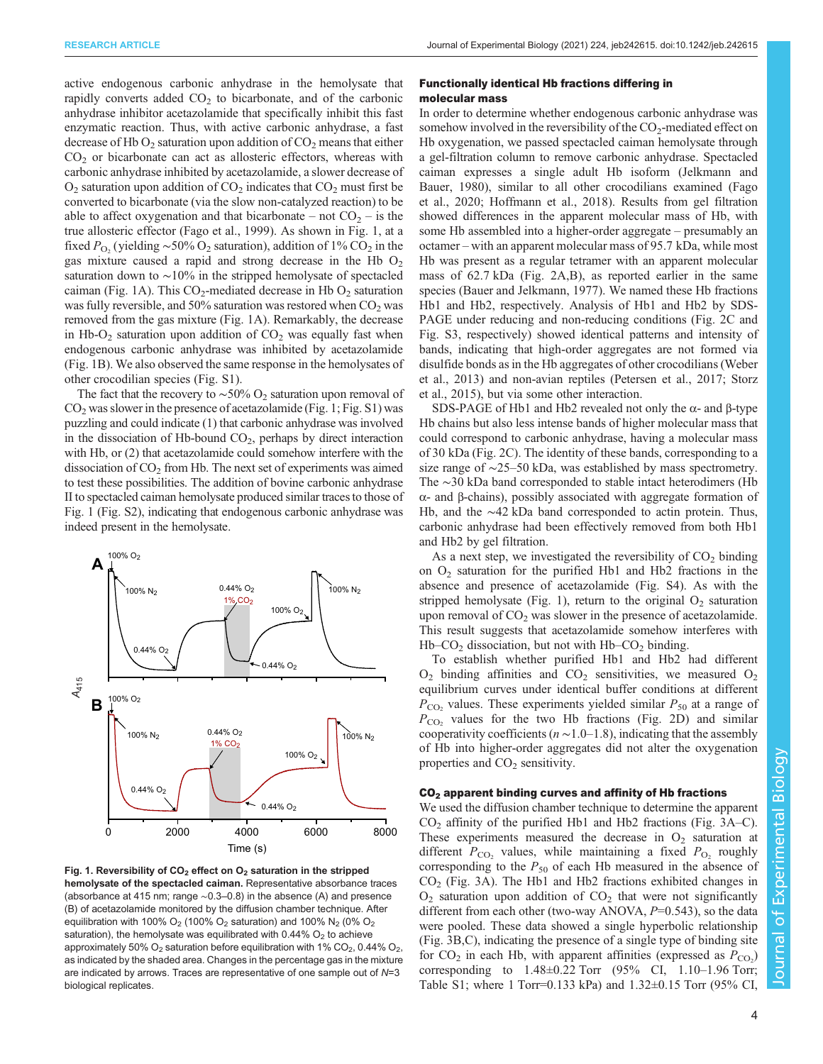<span id="page-3-0"></span>active endogenous carbonic anhydrase in the hemolysate that rapidly converts added  $CO<sub>2</sub>$  to bicarbonate, and of the carbonic anhydrase inhibitor acetazolamide that specifically inhibit this fast enzymatic reaction. Thus, with active carbonic anhydrase, a fast decrease of Hb  $O_2$  saturation upon addition of  $CO_2$  means that either  $CO<sub>2</sub>$  or bicarbonate can act as allosteric effectors, whereas with carbonic anhydrase inhibited by acetazolamide, a slower decrease of  $O<sub>2</sub>$  saturation upon addition of  $CO<sub>2</sub>$  indicates that  $CO<sub>2</sub>$  must first be converted to bicarbonate (via the slow non-catalyzed reaction) to be able to affect oxygenation and that bicarbonate – not  $CO<sub>2</sub>$  – is the true allosteric effector ([Fago et al., 1999\)](#page-7-0). As shown in Fig. 1, at a fixed  $P_{\text{O}_2}$  (yielding ~50% O<sub>2</sub> saturation), addition of 1% CO<sub>2</sub> in the gas mixture caused a rapid and strong decrease in the Hb  $O<sub>2</sub>$ saturation down to ~10% in the stripped hemolysate of spectacled caiman (Fig. 1A). This  $CO_2$ -mediated decrease in Hb  $O_2$  saturation was fully reversible, and 50% saturation was restored when  $CO<sub>2</sub>$  was removed from the gas mixture (Fig. 1A). Remarkably, the decrease in Hb-O<sub>2</sub> saturation upon addition of  $CO<sub>2</sub>$  was equally fast when endogenous carbonic anhydrase was inhibited by acetazolamide (Fig. 1B). We also observed the same response in the hemolysates of other crocodilian species [\(Fig. S1](https://journals.biologists.com/jeb/article-lookup/DOI/10.1242/jeb.242615)).

The fact that the recovery to ~50% O<sub>2</sub> saturation upon removal of  $CO<sub>2</sub>$  was slower in the presence of acetazolamide (Fig. 1; [Fig. S1](https://journals.biologists.com/jeb/article-lookup/DOI/10.1242/jeb.242615)) was puzzling and could indicate (1) that carbonic anhydrase was involved in the dissociation of Hb-bound  $CO<sub>2</sub>$ , perhaps by direct interaction with Hb, or  $(2)$  that acetazolamide could somehow interfere with the dissociation of  $CO<sub>2</sub>$  from Hb. The next set of experiments was aimed to test these possibilities. The addition of bovine carbonic anhydrase II to spectacled caiman hemolysate produced similar traces to those of Fig. 1 [\(Fig. S2](https://journals.biologists.com/jeb/article-lookup/DOI/10.1242/jeb.242615)), indicating that endogenous carbonic anhydrase was indeed present in the hemolysate.



Fig. 1. Reversibility of  $CO<sub>2</sub>$  effect on  $O<sub>2</sub>$  saturation in the stripped hemolysate of the spectacled caiman. Representative absorbance traces (absorbance at 415 nm; range ∼0.3–0.8) in the absence (A) and presence (B) of acetazolamide monitored by the diffusion chamber technique. After equilibration with 100% O<sub>2</sub> (100% O<sub>2</sub> saturation) and 100% N<sub>2</sub> (0% O<sub>2</sub> saturation), the hemolysate was equilibrated with  $0.44\%$  O<sub>2</sub> to achieve approximately 50%  $O_2$  saturation before equilibration with 1%  $CO_2$ , 0.44%  $O_2$ , as indicated by the shaded area. Changes in the percentage gas in the mixture are indicated by arrows. Traces are representative of one sample out of  $N=3$ biological replicates.

## Functionally identical Hb fractions differing in molecular mass

In order to determine whether endogenous carbonic anhydrase was somehow involved in the reversibility of the  $CO<sub>2</sub>$ -mediated effect on Hb oxygenation, we passed spectacled caiman hemolysate through a gel-filtration column to remove carbonic anhydrase. Spectacled caiman expresses a single adult Hb isoform ([Jelkmann and](#page-7-0) [Bauer, 1980\)](#page-7-0), similar to all other crocodilians examined [\(Fago](#page-7-0) [et al., 2020; Hoffmann et al., 2018\)](#page-7-0). Results from gel filtration showed differences in the apparent molecular mass of Hb, with some Hb assembled into a higher-order aggregate – presumably an octamer – with an apparent molecular mass of 95.7 kDa, while most Hb was present as a regular tetramer with an apparent molecular mass of 62.7 kDa [\(Fig. 2A](#page-4-0),B), as reported earlier in the same species ([Bauer and Jelkmann, 1977](#page-6-0)). We named these Hb fractions Hb1 and Hb2, respectively. Analysis of Hb1 and Hb2 by SDS-PAGE under reducing and non-reducing conditions [\(Fig. 2C](#page-4-0) and [Fig. S3](https://journals.biologists.com/jeb/article-lookup/DOI/10.1242/jeb.242615), respectively) showed identical patterns and intensity of bands, indicating that high-order aggregates are not formed via disulfide bonds as in the Hb aggregates of other crocodilians [\(Weber](#page-7-0) [et al., 2013](#page-7-0)) and non-avian reptiles [\(Petersen et al., 2017; Storz](#page-7-0) [et al., 2015\)](#page-7-0), but via some other interaction.

SDS-PAGE of Hb1 and Hb2 revealed not only the α- and β-type Hb chains but also less intense bands of higher molecular mass that could correspond to carbonic anhydrase, having a molecular mass of 30 kDa ([Fig. 2](#page-4-0)C). The identity of these bands, corresponding to a size range of ∼25–50 kDa, was established by mass spectrometry. The ∼30 kDa band corresponded to stable intact heterodimers (Hb α- and β-chains), possibly associated with aggregate formation of Hb, and the ∼42 kDa band corresponded to actin protein. Thus, carbonic anhydrase had been effectively removed from both Hb1 and Hb2 by gel filtration.

As a next step, we investigated the reversibility of  $CO<sub>2</sub>$  binding on  $O_2$  saturation for the purified Hb1 and Hb2 fractions in the absence and presence of acetazolamide [\(Fig. S4\)](https://journals.biologists.com/jeb/article-lookup/DOI/10.1242/jeb.242615). As with the stripped hemolysate (Fig. 1), return to the original  $O_2$  saturation upon removal of  $CO<sub>2</sub>$  was slower in the presence of acetazolamide. This result suggests that acetazolamide somehow interferes with  $Hb$ – $CO<sub>2</sub>$  dissociation, but not with  $Hb$ – $CO<sub>2</sub>$  binding.

To establish whether purified Hb1 and Hb2 had different  $O_2$  binding affinities and  $CO_2$  sensitivities, we measured  $O_2$ equilibrium curves under identical buffer conditions at different  $P_{\rm CO}$ , values. These experiments yielded similar  $P_{50}$  at a range of  $P_{\rm CO_2}$  values for the two Hb fractions ([Fig. 2](#page-4-0)D) and similar cooperativity coefficients ( $n \sim 1.0-1.8$ ), indicating that the assembly of Hb into higher-order aggregates did not alter the oxygenation properties and  $CO<sub>2</sub>$  sensitivity.

## $CO<sub>2</sub>$  apparent binding curves and affinity of Hb fractions

We used the diffusion chamber technique to determine the apparent  $CO<sub>2</sub>$  affinity of the purified Hb1 and Hb2 fractions [\(Fig. 3A](#page-5-0)–C). These experiments measured the decrease in  $O<sub>2</sub>$  saturation at different  $P_{\text{CO}_2}$  values, while maintaining a fixed  $P_{\text{O}_2}$  roughly corresponding to the  $P_{50}$  of each Hb measured in the absence of  $CO<sub>2</sub>$  [\(Fig. 3](#page-5-0)A). The Hb1 and Hb2 fractions exhibited changes in  $O<sub>2</sub>$  saturation upon addition of  $CO<sub>2</sub>$  that were not significantly different from each other (two-way ANOVA,  $P=0.543$ ), so the data were pooled. These data showed a single hyperbolic relationship [\(Fig. 3](#page-5-0)B,C), indicating the presence of a single type of binding site for  $CO_2$  in each Hb, with apparent affinities (expressed as  $P_{CO_2}$ ) corresponding to  $1.48 \pm 0.22$  Torr (95% CI,  $1.10 - 1.96$  Torr; [Table S1](https://journals.biologists.com/jeb/article-lookup/DOI/10.1242/jeb.242615); where 1 Torr=0.133 kPa) and 1.32±0.15 Torr (95% CI,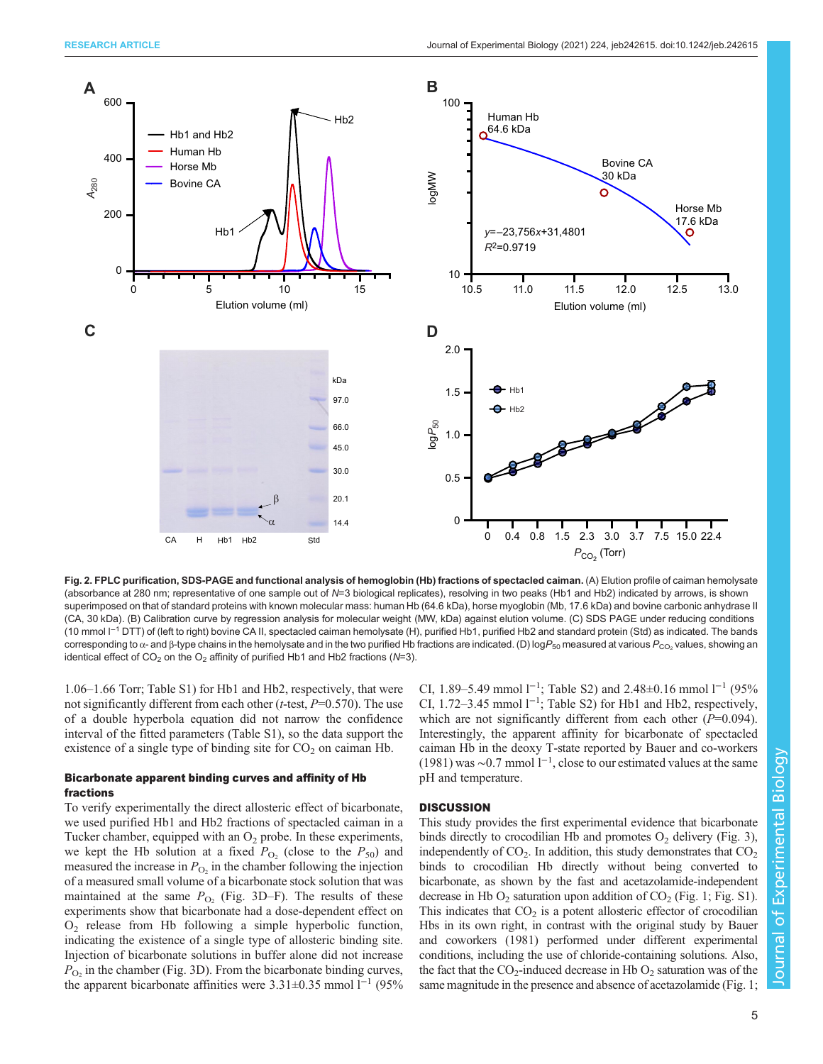<span id="page-4-0"></span>

Fig. 2. FPLC purification, SDS-PAGE and functional analysis of hemoglobin (Hb) fractions of spectacled caiman. (A) Elution profile of caiman hemolysate (absorbance at 280 nm; representative of one sample out of N=3 biological replicates), resolving in two peaks (Hb1 and Hb2) indicated by arrows, is shown superimposed on that of standard proteins with known molecular mass: human Hb (64.6 kDa), horse myoglobin (Mb, 17.6 kDa) and bovine carbonic anhydrase II (CA, 30 kDa). (B) Calibration curve by regression analysis for molecular weight (MW, kDa) against elution volume. (C) SDS PAGE under reducing conditions (10 mmol l−<sup>1</sup> DTT) of (left to right) bovine CA II, spectacled caiman hemolysate (H), purified Hb1, purified Hb2 and standard protein (Std) as indicated. The bands corresponding to α- and β-type chains in the hemolysate and in the two purified Hb fractions are indicated. (D) logP<sub>50</sub> measured at various P<sub>CO2</sub> values, showing an identical effect of  $CO_2$  on the  $O_2$  affinity of purified Hb1 and Hb2 fractions (N=3).

1.06–1.66 Torr; [Table S1](https://journals.biologists.com/jeb/article-lookup/DOI/10.1242/jeb.242615)) for Hb1 and Hb2, respectively, that were not significantly different from each other (*t*-test,  $P=0.570$ ). The use of a double hyperbola equation did not narrow the confidence interval of the fitted parameters ([Table S1](https://journals.biologists.com/jeb/article-lookup/DOI/10.1242/jeb.242615)), so the data support the existence of a single type of binding site for  $CO<sub>2</sub>$  on caiman Hb.

# Bicarbonate apparent binding curves and affinity of Hb fractions

To verify experimentally the direct allosteric effect of bicarbonate, we used purified Hb1 and Hb2 fractions of spectacled caiman in a Tucker chamber, equipped with an  $O_2$  probe. In these experiments, we kept the Hb solution at a fixed  $P_{\text{O}_2}$  (close to the  $P_{50}$ ) and measured the increase in  $P_{\text{O}_2}$  in the chamber following the injection of a measured small volume of a bicarbonate stock solution that was maintained at the same  $P_{\text{O}_2}$  ([Fig. 3](#page-5-0)D–F). The results of these experiments show that bicarbonate had a dose-dependent effect on  $O<sub>2</sub>$  release from Hb following a simple hyperbolic function, indicating the existence of a single type of allosteric binding site. Injection of bicarbonate solutions in buffer alone did not increase  $P_{\text{O}_2}$  in the chamber ([Fig. 3D](#page-5-0)). From the bicarbonate binding curves, the apparent bicarbonate affinities were 3.31±0.35 mmol l−<sup>1</sup> (95%

CI, 1.89–5.49 mmol  $1^{-1}$ ; [Table S2\)](https://journals.biologists.com/jeb/article-lookup/DOI/10.1242/jeb.242615) and 2.48±0.16 mmol  $1^{-1}$  (95% CI, 1.72–3.45 mmol l−<sup>1</sup> ; [Table S2](https://journals.biologists.com/jeb/article-lookup/DOI/10.1242/jeb.242615)) for Hb1 and Hb2, respectively, which are not significantly different from each other  $(P=0.094)$ . Interestingly, the apparent affinity for bicarbonate of spectacled caiman Hb in the deoxy T-state reported by [Bauer and co-workers](#page-6-0) [\(1981\)](#page-6-0) was ∼0.7 mmol l−<sup>1</sup> , close to our estimated values at the same pH and temperature.

## **DISCUSSION**

This study provides the first experimental evidence that bicarbonate binds directly to crocodilian Hb and promotes  $O<sub>2</sub>$  delivery [\(Fig. 3\)](#page-5-0), independently of  $CO<sub>2</sub>$ . In addition, this study demonstrates that  $CO<sub>2</sub>$ binds to crocodilian Hb directly without being converted to bicarbonate, as shown by the fast and acetazolamide-independent decrease in Hb  $O_2$  saturation upon addition of  $CO_2$  [\(Fig. 1;](#page-3-0) [Fig. S1\)](https://journals.biologists.com/jeb/article-lookup/DOI/10.1242/jeb.242615). This indicates that  $CO<sub>2</sub>$  is a potent allosteric effector of crocodilian Hbs in its own right, in contrast with the original study by [Bauer](#page-6-0) [and coworkers \(1981\)](#page-6-0) performed under different experimental conditions, including the use of chloride-containing solutions. Also, the fact that the  $CO_2$ -induced decrease in Hb  $O_2$  saturation was of the same magnitude in the presence and absence of acetazolamide ([Fig. 1](#page-3-0);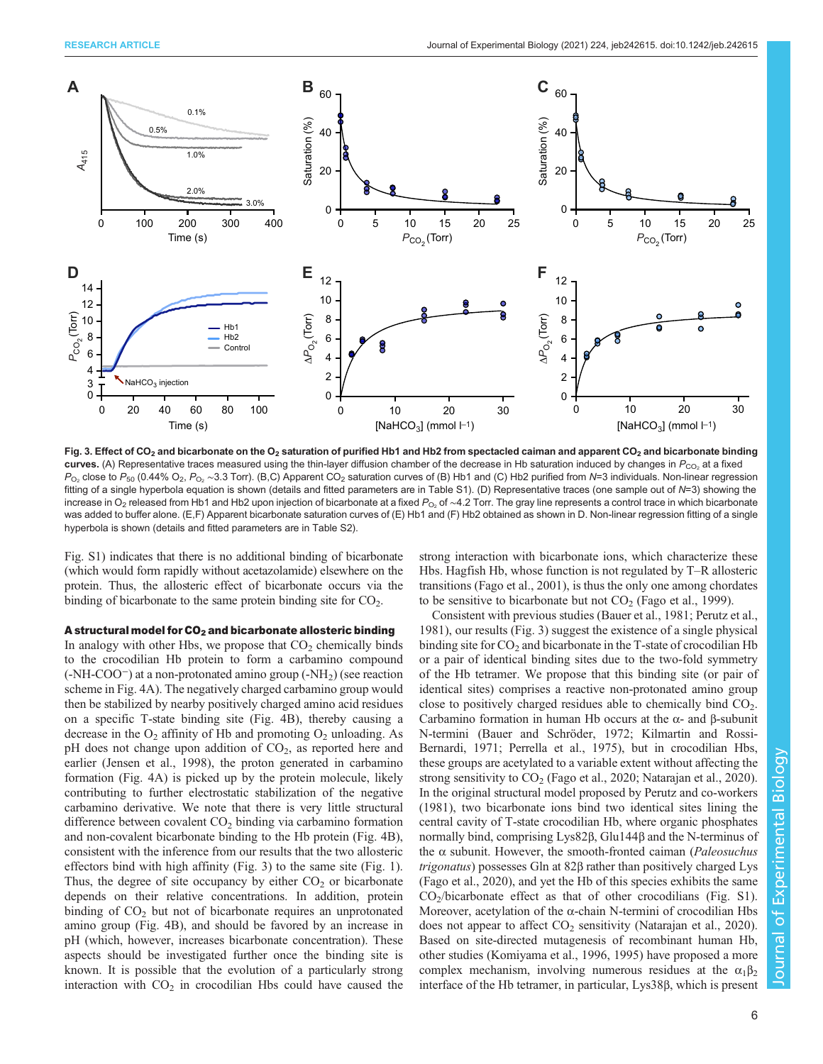<span id="page-5-0"></span>

Fig. 3. Effect of CO<sub>2</sub> and bicarbonate on the O<sub>2</sub> saturation of purified Hb1 and Hb2 from spectacled caiman and apparent CO<sub>2</sub> and bicarbonate binding curves. (A) Representative traces measured using the thin-layer diffusion chamber of the decrease in Hb saturation induced by changes in  $P_{CO_2}$  at a fixed  $P_{\text{O}_2}$  close to  $P_{50}$  (0.44% O<sub>2</sub>,  $P_{\text{O}_2} \sim 3.3$  Torr). (B,C) Apparent CO<sub>2</sub> saturation curves of (B) Hb1 and (C) Hb2 purified from N=3 individuals. Non-linear regression fitting of a single hyperbola equation is shown (details and fitted parameters are in [Table S1\)](https://journals.biologists.com/jeb/article-lookup/DOI/10.1242/jeb.242615). (D) Representative traces (one sample out of N=3) showing the increase in O<sub>2</sub> released from Hb1 and Hb2 upon injection of bicarbonate at a fixed P<sub>O2</sub> of ∼4.2 Torr. The gray line represents a control trace in which bicarbonate was added to buffer alone. (E,F) Apparent bicarbonate saturation curves of (E) Hb1 and (F) Hb2 obtained as shown in D. Non-linear regression fitting of a single hyperbola is shown (details and fitted parameters are in [Table S2](https://journals.biologists.com/jeb/article-lookup/DOI/10.1242/jeb.242615)).

[Fig. S1](https://journals.biologists.com/jeb/article-lookup/DOI/10.1242/jeb.242615)) indicates that there is no additional binding of bicarbonate (which would form rapidly without acetazolamide) elsewhere on the protein. Thus, the allosteric effect of bicarbonate occurs via the binding of bicarbonate to the same protein binding site for  $CO<sub>2</sub>$ .

#### A structural model for  $CO<sub>2</sub>$  and bicarbonate allosteric binding

In analogy with other Hbs, we propose that  $CO<sub>2</sub>$  chemically binds to the crocodilian Hb protein to form a carbamino compound (-NH-COO<sup>−</sup>) at a non-protonated amino group (-NH2) (see reaction scheme in [Fig. 4A](#page-6-0)). The negatively charged carbamino group would then be stabilized by nearby positively charged amino acid residues on a specific T-state binding site [\(Fig. 4](#page-6-0)B), thereby causing a decrease in the  $O_2$  affinity of Hb and promoting  $O_2$  unloading. As pH does not change upon addition of  $CO<sub>2</sub>$ , as reported here and earlier [\(Jensen et al., 1998](#page-7-0)), the proton generated in carbamino formation ([Fig. 4A](#page-6-0)) is picked up by the protein molecule, likely contributing to further electrostatic stabilization of the negative carbamino derivative. We note that there is very little structural difference between covalent  $CO<sub>2</sub>$  binding via carbamino formation and non-covalent bicarbonate binding to the Hb protein ([Fig. 4](#page-6-0)B), consistent with the inference from our results that the two allosteric effectors bind with high affinity (Fig. 3) to the same site ([Fig. 1\)](#page-3-0). Thus, the degree of site occupancy by either  $CO<sub>2</sub>$  or bicarbonate depends on their relative concentrations. In addition, protein binding of  $CO<sub>2</sub>$  but not of bicarbonate requires an unprotonated amino group ([Fig. 4](#page-6-0)B), and should be favored by an increase in pH (which, however, increases bicarbonate concentration). These aspects should be investigated further once the binding site is known. It is possible that the evolution of a particularly strong interaction with  $CO<sub>2</sub>$  in crocodilian Hbs could have caused the strong interaction with bicarbonate ions, which characterize these Hbs. Hagfish Hb, whose function is not regulated by T–R allosteric transitions [\(Fago et al., 2001\)](#page-7-0), is thus the only one among chordates to be sensitive to bicarbonate but not  $CO<sub>2</sub>$  [\(Fago et al., 1999](#page-7-0)).

Consistent with previous studies [\(Bauer et al., 1981](#page-6-0); [Perutz et al.,](#page-7-0) [1981\)](#page-7-0), our results (Fig. 3) suggest the existence of a single physical binding site for  $CO<sub>2</sub>$  and bicarbonate in the T-state of crocodilian Hb or a pair of identical binding sites due to the two-fold symmetry of the Hb tetramer. We propose that this binding site (or pair of identical sites) comprises a reactive non-protonated amino group close to positively charged residues able to chemically bind  $CO<sub>2</sub>$ . Carbamino formation in human Hb occurs at the α- and β-subunit N-termini ([Bauer and Schröder, 1972;](#page-6-0) [Kilmartin and Rossi-](#page-7-0)[Bernardi, 1971](#page-7-0); [Perrella et al., 1975\)](#page-7-0), but in crocodilian Hbs, these groups are acetylated to a variable extent without affecting the strong sensitivity to  $CO<sub>2</sub>$  [\(Fago et al., 2020](#page-7-0); [Natarajan et al., 2020\)](#page-7-0). In the original structural model proposed by [Perutz and co-workers](#page-7-0) [\(1981\)](#page-7-0), two bicarbonate ions bind two identical sites lining the central cavity of T-state crocodilian Hb, where organic phosphates normally bind, comprising Lys82β, Glu144β and the N-terminus of the  $\alpha$  subunit. However, the smooth-fronted caiman (Paleosuchus trigonatus) possesses Gln at 82β rather than positively charged Lys [\(Fago et al., 2020](#page-7-0)), and yet the Hb of this species exhibits the same  $CO<sub>2</sub>/bicarbonate effect as that of other crocodilians (Fig. S1).$  $CO<sub>2</sub>/bicarbonate effect as that of other crocodilians (Fig. S1).$  $CO<sub>2</sub>/bicarbonate effect as that of other crocodilians (Fig. S1).$ Moreover, acetylation of the α-chain N-termini of crocodilian Hbs does not appear to affect  $CO<sub>2</sub>$  sensitivity ([Natarajan et al., 2020\)](#page-7-0). Based on site-directed mutagenesis of recombinant human Hb, other studies [\(Komiyama et al., 1996, 1995\)](#page-7-0) have proposed a more complex mechanism, involving numerous residues at the  $\alpha_1\beta_2$ interface of the Hb tetramer, in particular, Lys38β, which is present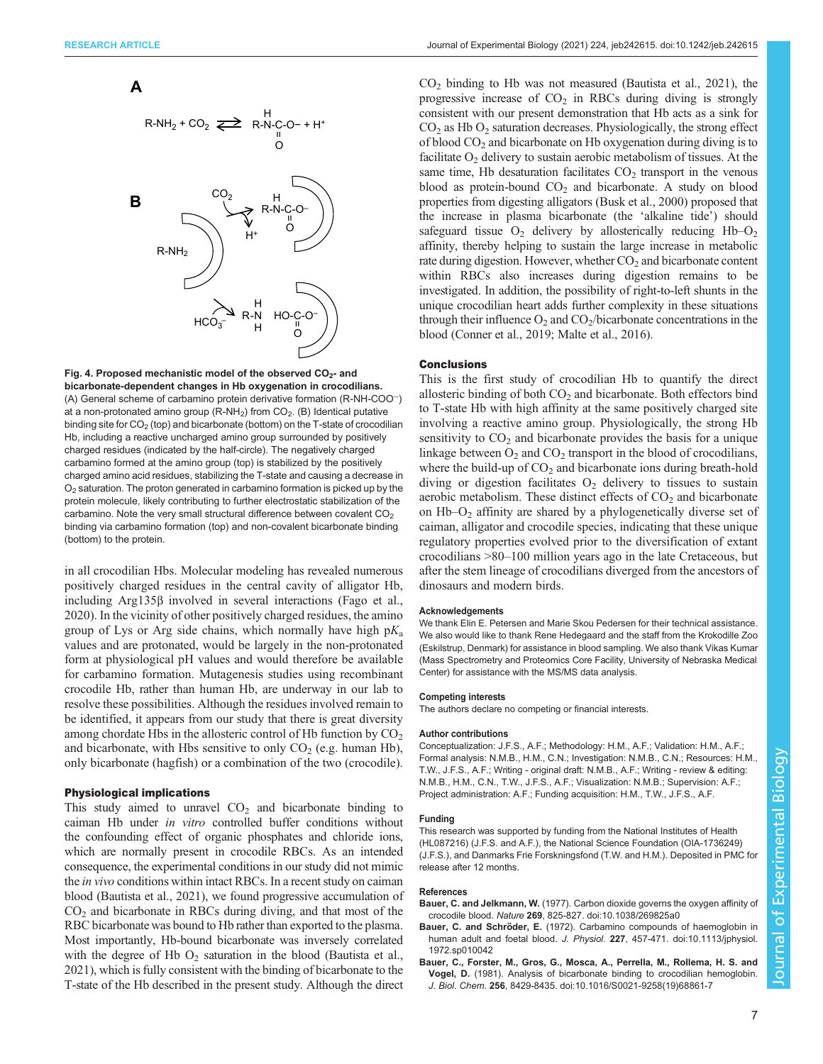<span id="page-6-0"></span>



Fig. 4. Proposed mechanistic model of the observed CO<sub>2</sub>- and bicarbonate-dependent changes in Hb oxygenation in crocodilians. (A) General scheme of carbamino protein derivative formation (R-NH-COO−) at a non-protonated amino group  $(R-NH<sub>2</sub>)$  from  $CO<sub>2</sub>$ . (B) Identical putative binding site for  $CO<sub>2</sub>$  (top) and bicarbonate (bottom) on the T-state of crocodilian Hb, including a reactive uncharged amino group surrounded by positively charged residues (indicated by the half-circle). The negatively charged carbamino formed at the amino group (top) is stabilized by the positively charged amino acid residues, stabilizing the T-state and causing a decrease in  $O<sub>2</sub>$  saturation. The proton generated in carbamino formation is picked up by the protein molecule, likely contributing to further electrostatic stabilization of the carbamino. Note the very small structural difference between covalent CO<sub>2</sub> binding via carbamino formation (top) and non-covalent bicarbonate binding (bottom) to the protein.

in all crocodilian Hbs. Molecular modeling has revealed numerous positively charged residues in the central cavity of alligator Hb, including Arg135β involved in several interactions ([Fago et al.,](#page-7-0) [2020](#page-7-0)). In the vicinity of other positively charged residues, the amino group of Lys or Arg side chains, which normally have high  $pK_a$ values and are protonated, would be largely in the non-protonated form at physiological pH values and would therefore be available for carbamino formation. Mutagenesis studies using recombinant crocodile Hb, rather than human Hb, are underway in our lab to resolve these possibilities. Although the residues involved remain to be identified, it appears from our study that there is great diversity among chordate Hbs in the allosteric control of Hb function by  $CO<sub>2</sub>$ and bicarbonate, with Hbs sensitive to only  $CO<sub>2</sub>$  (e.g. human Hb), only bicarbonate (hagfish) or a combination of the two (crocodile).

#### Physiological implications

This study aimed to unravel  $CO<sub>2</sub>$  and bicarbonate binding to caiman Hb under in vitro controlled buffer conditions without the confounding effect of organic phosphates and chloride ions, which are normally present in crocodile RBCs. As an intended consequence, the experimental conditions in our study did not mimic the in vivo conditions within intact RBCs. In a recent study on caiman blood [\(Bautista et al., 2021\)](#page-7-0), we found progressive accumulation of  $CO<sub>2</sub>$  and bicarbonate in RBCs during diving, and that most of the RBC bicarbonate was bound to Hb rather than exported to the plasma. Most importantly, Hb-bound bicarbonate was inversely correlated with the degree of Hb  $O_2$  saturation in the blood ([Bautista et al.,](#page-7-0) [2021\)](#page-7-0), which is fully consistent with the binding of bicarbonate to the T-state of the Hb described in the present study. Although the direct

 $CO<sub>2</sub>$  binding to Hb was not measured [\(Bautista et al., 2021\)](#page-7-0), the progressive increase of  $CO<sub>2</sub>$  in RBCs during diving is strongly consistent with our present demonstration that Hb acts as a sink for  $CO<sub>2</sub>$  as Hb  $O<sub>2</sub>$  saturation decreases. Physiologically, the strong effect of blood  $CO<sub>2</sub>$  and bicarbonate on Hb oxygenation during diving is to facilitate  $O_2$  delivery to sustain aerobic metabolism of tissues. At the same time, Hb desaturation facilitates  $CO<sub>2</sub>$  transport in the venous blood as protein-bound  $CO<sub>2</sub>$  and bicarbonate. A study on blood properties from digesting alligators [\(Busk et al., 2000\)](#page-7-0) proposed that the increase in plasma bicarbonate (the 'alkaline tide') should safeguard tissue  $O_2$  delivery by allosterically reducing  $Hb-O_2$ affinity, thereby helping to sustain the large increase in metabolic rate during digestion. However, whether  $CO<sub>2</sub>$  and bicarbonate content within RBCs also increases during digestion remains to be investigated. In addition, the possibility of right-to-left shunts in the unique crocodilian heart adds further complexity in these situations through their influence  $O_2$  and  $CO_2/b$  icarbonate concentrations in the blood ([Conner et al., 2019; Malte et al., 2016\)](#page-7-0).

#### **Conclusions**

This is the first study of crocodilian Hb to quantify the direct allosteric binding of both  $CO<sub>2</sub>$  and bicarbonate. Both effectors bind to T-state Hb with high affinity at the same positively charged site involving a reactive amino group. Physiologically, the strong Hb sensitivity to  $CO<sub>2</sub>$  and bicarbonate provides the basis for a unique linkage between  $O_2$  and  $CO_2$  transport in the blood of crocodilians, where the build-up of  $CO<sub>2</sub>$  and bicarbonate ions during breath-hold diving or digestion facilitates  $O_2$  delivery to tissues to sustain aerobic metabolism. These distinct effects of  $CO<sub>2</sub>$  and bicarbonate on  $Hb-O<sub>2</sub>$  affinity are shared by a phylogenetically diverse set of caiman, alligator and crocodile species, indicating that these unique regulatory properties evolved prior to the diversification of extant crocodilians >80–100 million years ago in the late Cretaceous, but after the stem lineage of crocodilians diverged from the ancestors of dinosaurs and modern birds.

#### **Acknowledgements**

We thank Elin E. Petersen and Marie Skou Pedersen for their technical assistance. We also would like to thank Rene Hedegaard and the staff from the Krokodille Zoo (Eskilstrup, Denmark) for assistance in blood sampling. We also thank Vikas Kumar (Mass Spectrometry and Proteomics Core Facility, University of Nebraska Medical Center) for assistance with the MS/MS data analysis.

#### Competing interests

The authors declare no competing or financial interests.

#### Author contributions

Conceptualization: J.F.S., A.F.; Methodology: H.M., A.F.; Validation: H.M., A.F.; Formal analysis: N.M.B., H.M., C.N.; Investigation: N.M.B., C.N.; Resources: H.M., T.W., J.F.S., A.F.; Writing - original draft: N.M.B., A.F.; Writing - review & editing: N.M.B., H.M., C.N., T.W., J.F.S., A.F.; Visualization: N.M.B.; Supervision: A.F.; Project administration: A.F.; Funding acquisition: H.M., T.W., J.F.S., A.F.

#### Funding

This research was supported by funding from the National Institutes of Health (HL087216) (J.F.S. and A.F.), the National Science Foundation (OIA-1736249) (J.F.S.), and Danmarks Frie Forskningsfond (T.W. and H.M.). Deposited in PMC for release after 12 months.

#### References

- Bauer, C. and Jelkmann, W. [\(1977\). Carbon dioxide governs the oxygen affinity of](https://doi.org/10.1038/269825a0) crocodile blood. Nature 269[, 825-827. doi:10.1038/269825a0](https://doi.org/10.1038/269825a0)
- Bauer, C. and Schröder, E. [\(1972\). Carbamino compounds of haemoglobin in](https://doi.org/10.1113/jphysiol.1972.sp010042) human adult and foetal blood. J. Physiol. 227[, 457-471. doi:10.1113/jphysiol.](https://doi.org/10.1113/jphysiol.1972.sp010042) [1972.sp010042](https://doi.org/10.1113/jphysiol.1972.sp010042)
- [Bauer, C., Forster, M., Gros, G., Mosca, A., Perrella, M., Rollema, H. S. and](https://doi.org/10.1016/S0021-9258(19)68861-7) Vogel, D. [\(1981\). Analysis of bicarbonate binding to crocodilian hemoglobin.](https://doi.org/10.1016/S0021-9258(19)68861-7) J. Biol. Chem. 256[, 8429-8435. doi:10.1016/S0021-9258\(19\)68861-7](https://doi.org/10.1016/S0021-9258(19)68861-7)